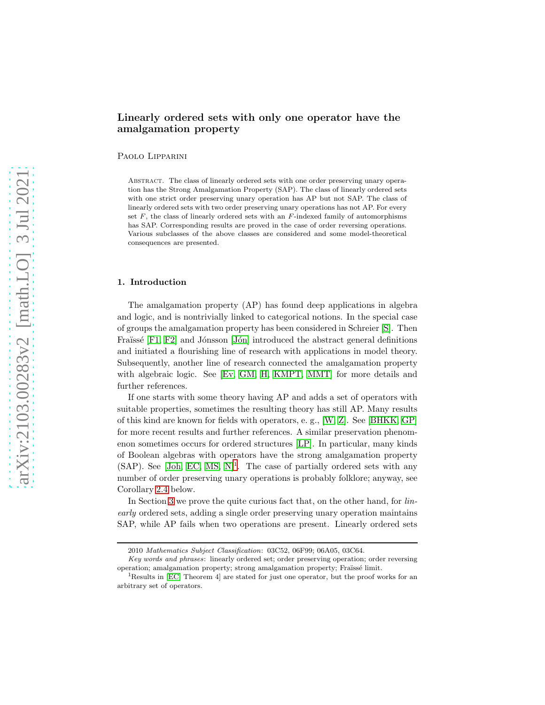# Linearly ordered sets with only one operator have the amalgamation property

Paolo Lipparini

ABSTRACT. The class of linearly ordered sets with one order preserving unary operation has the Strong Amalgamation Property (SAP). The class of linearly ordered sets with one strict order preserving unary operation has AP but not SAP. The class of linearly ordered sets with two order preserving unary operations has not AP. For every set  $F$ , the class of linearly ordered sets with an  $F$ -indexed family of automorphisms has SAP. Corresponding results are proved in the case of order reversing operations. Various subclasses of the above classes are considered and some model-theoretical consequences are presented.

### 1. Introduction

The amalgamation property (AP) has found deep applications in algebra and logic, and is nontrivially linked to categorical notions. In the special case of groups the amalgamation property has been considered in Schreier [\[S\]](#page-20-0). Then Fraïssé [\[F1,](#page-20-1) [F2\]](#page-20-2) and Jónsson [Jón] introduced the abstract general definitions and initiated a flourishing line of research with applications in model theory. Subsequently, another line of research connected the amalgamation property with algebraic logic. See [\[Ev,](#page-20-4) [GM,](#page-20-5) [H,](#page-20-6) [KMPT,](#page-20-7) [MMT\]](#page-20-8) for more details and further references.

If one starts with some theory having AP and adds a set of operators with suitable properties, sometimes the resulting theory has still AP. Many results of this kind are known for fields with operators, e. g., [\[W,](#page-20-9) [Z\]](#page-20-10). See [\[BHKK,](#page-20-11) [GP\]](#page-20-12) for more recent results and further references. A similar preservation phenomenon sometimes occurs for ordered structures [\[LP\]](#page-20-13). In particular, many kinds of Boolean algebras with operators have the strong amalgamation property  $(SAP)$ . See [\[Joh,](#page-20-14) [EC,](#page-20-15) [MS,](#page-20-16) [N\]](#page-20-17)<sup>[1](#page-0-0)</sup>. The case of partially ordered sets with any number of order preserving unary operations is probably folklore; anyway, see Corollary [2.4](#page-4-0) below.

In Section [3](#page-5-0) we prove the quite curious fact that, on the other hand, for *lin*early ordered sets, adding a single order preserving unary operation maintains SAP, while AP fails when two operations are present. Linearly ordered sets

<sup>2010</sup> Mathematics Subject Classification: 03C52, 06F99; 06A05, 03C64.

Key words and phrases: linearly ordered set; order preserving operation; order reversing operation; amalgamation property; strong amalgamation property; Fraïssé limit.

<span id="page-0-0"></span><sup>&</sup>lt;sup>1</sup>Results in [\[EC,](#page-20-15) Theorem 4] are stated for just one operator, but the proof works for an arbitrary set of operators.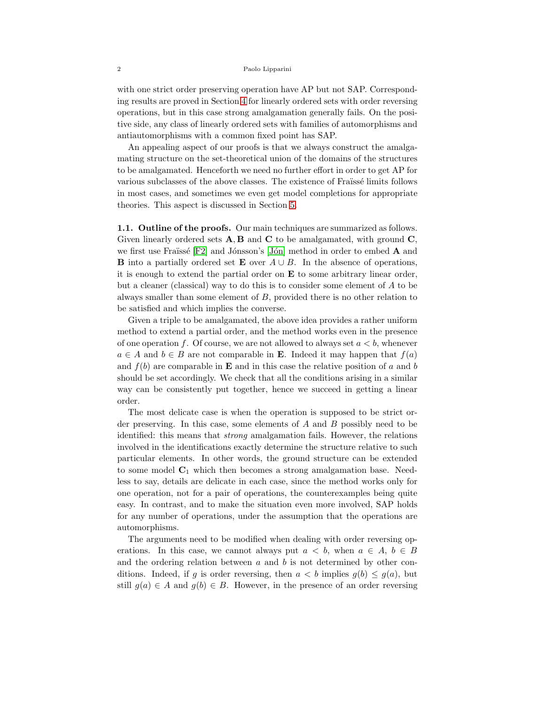with one strict order preserving operation have AP but not SAP. Corresponding results are proved in Section [4](#page-11-0) for linearly ordered sets with order reversing operations, but in this case strong amalgamation generally fails. On the positive side, any class of linearly ordered sets with families of automorphisms and antiautomorphisms with a common fixed point has SAP.

An appealing aspect of our proofs is that we always construct the amalgamating structure on the set-theoretical union of the domains of the structures to be amalgamated. Henceforth we need no further effort in order to get AP for various subclasses of the above classes. The existence of Fraïssé limits follows in most cases, and sometimes we even get model completions for appropriate theories. This aspect is discussed in Section [5.](#page-16-0)

1.1. Outline of the proofs. Our main techniques are summarized as follows. Given linearly ordered sets  $\mathbf{A}, \mathbf{B}$  and  $\mathbf{C}$  to be amalgamated, with ground  $\mathbf{C}$ , we first use Fraïssé  $[F2]$  and Jónsson's [Jón] method in order to embed A and **B** into a partially ordered set **E** over  $A \cup B$ . In the absence of operations, it is enough to extend the partial order on  $E$  to some arbitrary linear order, but a cleaner (classical) way to do this is to consider some element of A to be always smaller than some element of  $B$ , provided there is no other relation to be satisfied and which implies the converse.

Given a triple to be amalgamated, the above idea provides a rather uniform method to extend a partial order, and the method works even in the presence of one operation f. Of course, we are not allowed to always set  $a < b$ , whenever  $a \in A$  and  $b \in B$  are not comparable in **E**. Indeed it may happen that  $f(a)$ and  $f(b)$  are comparable in **E** and in this case the relative position of a and b should be set accordingly. We check that all the conditions arising in a similar way can be consistently put together, hence we succeed in getting a linear order.

The most delicate case is when the operation is supposed to be strict order preserving. In this case, some elements of  $A$  and  $B$  possibly need to be identified: this means that strong amalgamation fails. However, the relations involved in the identifications exactly determine the structure relative to such particular elements. In other words, the ground structure can be extended to some model  $C_1$  which then becomes a strong amalgamation base. Needless to say, details are delicate in each case, since the method works only for one operation, not for a pair of operations, the counterexamples being quite easy. In contrast, and to make the situation even more involved, SAP holds for any number of operations, under the assumption that the operations are automorphisms.

The arguments need to be modified when dealing with order reversing operations. In this case, we cannot always put  $a < b$ , when  $a \in A$ ,  $b \in B$ and the ordering relation between  $a$  and  $b$  is not determined by other conditions. Indeed, if g is order reversing, then  $a < b$  implies  $g(b) \leq g(a)$ , but still  $g(a) \in A$  and  $g(b) \in B$ . However, in the presence of an order reversing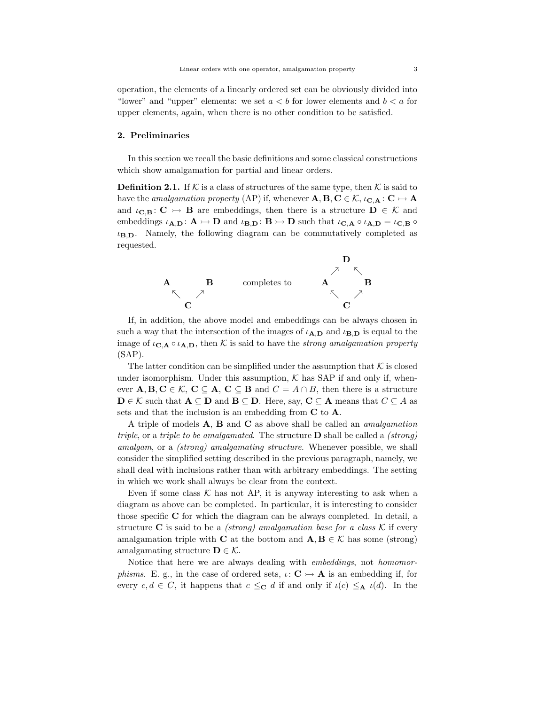operation, the elements of a linearly ordered set can be obviously divided into "lower" and "upper" elements: we set  $a < b$  for lower elements and  $b < a$  for upper elements, again, when there is no other condition to be satisfied.

### 2. Preliminaries

In this section we recall the basic definitions and some classical constructions which show amalgamation for partial and linear orders.

<span id="page-2-0"></span>**Definition 2.1.** If K is a class of structures of the same type, then K is said to have the *amalgamation property* (AP) if, whenever  $\mathbf{A}, \mathbf{B}, \mathbf{C} \in \mathcal{K}$ ,  $\iota_{\mathbf{C},\mathbf{A}} : \mathbf{C} \rightarrowtail \mathbf{A}$ and  $\iota_{\mathbf{C},\mathbf{B}}\colon \mathbf{C} \to \mathbf{B}$  are embeddings, then there is a structure  $\mathbf{D} \in \mathcal{K}$  and embeddings  $\iota_{A,D} : A \rightarrowtail D$  and  $\iota_{B,D} : B \rightarrowtail D$  such that  $\iota_{C,A} \circ \iota_{A,D} = \iota_{C,B} \circ$  $\iota_{\mathbf{B},\mathbf{D}}$ . Namely, the following diagram can be commutatively completed as requested.



If, in addition, the above model and embeddings can be always chosen in such a way that the intersection of the images of  $\iota_{A,D}$  and  $\iota_{B,D}$  is equal to the image of  $\iota_{\mathbf{C},\mathbf{A}} \circ \iota_{\mathbf{A},\mathbf{D}}$ , then K is said to have the *strong amalgamation property* (SAP).

The latter condition can be simplified under the assumption that  $K$  is closed under isomorphism. Under this assumption,  $K$  has SAP if and only if, whenever  $\mathbf{A}, \mathbf{B}, \mathbf{C} \in \mathcal{K}, \mathbf{C} \subseteq \mathbf{A}, \mathbf{C} \subseteq \mathbf{B}$  and  $C = A \cap B$ , then there is a structure  $\mathbf{D} \in \mathcal{K}$  such that  $\mathbf{A} \subseteq \mathbf{D}$  and  $\mathbf{B} \subseteq \mathbf{D}$ . Here, say,  $\mathbf{C} \subseteq \mathbf{A}$  means that  $C \subseteq A$  as sets and that the inclusion is an embedding from C to A.

A triple of models  $A$ ,  $B$  and  $C$  as above shall be called an *amalgamation* triple, or a triple to be amalgamated. The structure  $D$  shall be called a *(strong)* amalgam, or a (strong) amalgamating structure. Whenever possible, we shall consider the simplified setting described in the previous paragraph, namely, we shall deal with inclusions rather than with arbitrary embeddings. The setting in which we work shall always be clear from the context.

Even if some class  $K$  has not AP, it is anyway interesting to ask when a diagram as above can be completed. In particular, it is interesting to consider those specific C for which the diagram can be always completed. In detail, a structure C is said to be a *(strong)* amalgamation base for a class  $\mathcal K$  if every amalgamation triple with C at the bottom and  $\mathbf{A}, \mathbf{B} \in \mathcal{K}$  has some (strong) amalgamating structure  $\mathbf{D} \in \mathcal{K}$ .

Notice that here we are always dealing with embeddings, not homomor*phisms.* E. g., in the case of ordered sets,  $\iota: \mathbf{C} \rightarrow \mathbf{A}$  is an embedding if, for every  $c, d \in C$ , it happens that  $c \leq_{\mathbf{C}} d$  if and only if  $\iota(c) \leq_{\mathbf{A}} \iota(d)$ . In the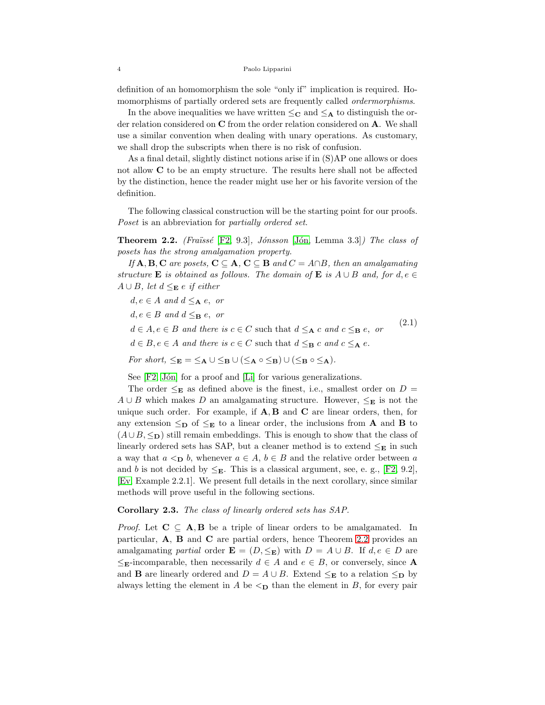definition of an homomorphism the sole "only if" implication is required. Homomorphisms of partially ordered sets are frequently called ordermorphisms.

In the above inequalities we have written  $\leq_C$  and  $\leq_A$  to distinguish the order relation considered on C from the order relation considered on A. We shall use a similar convention when dealing with unary operations. As customary, we shall drop the subscripts when there is no risk of confusion.

As a final detail, slightly distinct notions arise if in (S)AP one allows or does not allow C to be an empty structure. The results here shall not be affected by the distinction, hence the reader might use her or his favorite version of the definition.

The following classical construction will be the starting point for our proofs. Poset is an abbreviation for *partially ordered set*.

<span id="page-3-0"></span>**Theorem 2.2.** (Fraüssé [\[F2,](#page-20-2) 9.3], Jónsson [Jón, Lemma 3.3]) The class of posets has the strong amalgamation property.

If  $\mathbf{A}, \mathbf{B}, \mathbf{C}$  are posets,  $\mathbf{C} \subseteq \mathbf{A}, \mathbf{C} \subseteq \mathbf{B}$  and  $C = A \cap B$ , then an amalgamating structure **E** is obtained as follows. The domain of **E** is  $A \cup B$  and, for  $d, e \in$  $A ∪ B$ , let  $d ≤ E$  e if either

<span id="page-3-1"></span> $d, e \in A$  and  $d \leq_{\mathbf{A}} e$ , or  $d, e \in B$  and  $d \leq_{\mathbf{B}} e$ , or  $d \in A, e \in B$  and there is  $c \in C$  such that  $d \leq_{\mathbf{A}} c$  and  $c \leq_{\mathbf{B}} e$ , or  $d \in B, e \in A$  and there is  $c \in C$  such that  $d \leq_B c$  and  $c \leq_A e$ . (2.1) For short,  $\leq_{\mathbf{E}} = \leq_{\mathbf{A}} \cup \leq_{\mathbf{B}} \cup (\leq_{\mathbf{A}} \circ \leq_{\mathbf{B}}) \cup (\leq_{\mathbf{B}} \circ \leq_{\mathbf{A}}).$ 

See [\[F2,](#page-20-2) Jón] for a proof and [\[Li\]](#page-20-18) for various generalizations.

The order  $\leq_{\mathbf{E}}$  as defined above is the finest, i.e., smallest order on  $D =$  $A \cup B$  which makes D an amalgamating structure. However,  $\leq_{\mathbf{E}}$  is not the unique such order. For example, if  $A, B$  and  $C$  are linear orders, then, for any extension  $\leq_{\mathbf{D}}$  of  $\leq_{\mathbf{E}}$  to a linear order, the inclusions from **A** and **B** to  $(A \cup B, \leq_{\mathbf{D}})$  still remain embeddings. This is enough to show that the class of linearly ordered sets has SAP, but a cleaner method is to extend  $\leq_{\mathbf{E}}$  in such a way that  $a \leq_{\mathbf{D}} b$ , whenever  $a \in A$ ,  $b \in B$  and the relative order between a and b is not decided by  $\leq_{\mathbf{E}}$ . This is a classical argument, see, e. g., [\[F2,](#page-20-2) 9.2], [\[Ev,](#page-20-4) Example 2.2.1]. We present full details in the next corollary, since similar methods will prove useful in the following sections.

<span id="page-3-2"></span>Corollary 2.3. The class of linearly ordered sets has SAP.

*Proof.* Let  $C \subseteq A, B$  be a triple of linear orders to be amalgamated. In particular, A, B and C are partial orders, hence Theorem [2.2](#page-3-0) provides an amalgamating partial order  $\mathbf{E} = (D, \leq_{\mathbf{E}})$  with  $D = A \cup B$ . If  $d, e \in D$  are  $\leq_{\mathbf{E}}$ -incomparable, then necessarily  $d \in A$  and  $e \in B$ , or conversely, since **A** and **B** are linearly ordered and  $D = A \cup B$ . Extend  $\leq_{\mathbf{E}}$  to a relation  $\leq_{\mathbf{D}}$  by always letting the element in A be  $\leq_{\mathbf{D}}$  than the element in B, for every pair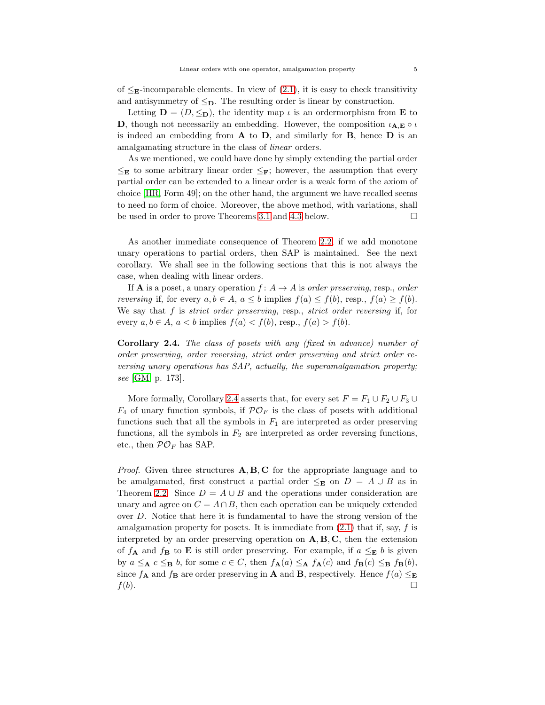of  $\leq_{\mathbf{E}}$ -incomparable elements. In view of [\(2.1\)](#page-3-1), it is easy to check transitivity and antisymmetry of  $\leq_{\mathbf{D}}$ . The resulting order is linear by construction.

Letting  $\mathbf{D} = (D, \leq_{\mathbf{D}})$ , the identity map  $\iota$  is an ordermorphism from **E** to **D**, though not necessarily an embedding. However, the composition  $\iota_{A,E} \circ \iota$ is indeed an embedding from  $A$  to  $D$ , and similarly for  $B$ , hence  $D$  is an amalgamating structure in the class of linear orders.

As we mentioned, we could have done by simply extending the partial order  $\leq_{\mathbf{E}}$  to some arbitrary linear order  $\leq_{\mathbf{F}}$ ; however, the assumption that every partial order can be extended to a linear order is a weak form of the axiom of choice [\[HR,](#page-20-19) Form 49]; on the other hand, the argument we have recalled seems to need no form of choice. Moreover, the above method, with variations, shall be used in order to prove Theorems 3.1 and [4.3](#page-12-0) below.

As another immediate consequence of Theorem [2.2,](#page-3-0) if we add monotone unary operations to partial orders, then SAP is maintained. See the next corollary. We shall see in the following sections that this is not always the case, when dealing with linear orders.

If **A** is a poset, a unary operation  $f: A \rightarrow A$  is order preserving, resp., order *reversing* if, for every  $a, b \in A$ ,  $a \leq b$  implies  $f(a) \leq f(b)$ , resp.,  $f(a) \geq f(b)$ . We say that  $f$  is *strict order preserving*, resp., *strict order reversing* if, for every  $a, b \in A$ ,  $a < b$  implies  $f(a) < f(b)$ , resp.,  $f(a) > f(b)$ .

<span id="page-4-0"></span>Corollary 2.4. The class of posets with any (fixed in advance) number of order preserving, order reversing, strict order preserving and strict order reversing unary operations has SAP, actually, the superamalgamation property; see [\[GM,](#page-20-5) p. 173].

More formally, Corollary [2.4](#page-4-0) asserts that, for every set  $F=F_1\cup F_2\cup F_3\cup$  $F_4$  of unary function symbols, if  $\mathcal{PO}_F$  is the class of posets with additional functions such that all the symbols in  $F_1$  are interpreted as order preserving functions, all the symbols in  $F_2$  are interpreted as order reversing functions, etc., then  $PO_F$  has SAP.

*Proof.* Given three structures  $\mathbf{A}, \mathbf{B}, \mathbf{C}$  for the appropriate language and to be amalgamated, first construct a partial order  $\leq_{\mathbf{E}}$  on  $D = A \cup B$  as in Theorem [2.2.](#page-3-0) Since  $D = A \cup B$  and the operations under consideration are unary and agree on  $C = A \cap B$ , then each operation can be uniquely extended over D. Notice that here it is fundamental to have the strong version of the amalgamation property for posets. It is immediate from  $(2.1)$  that if, say, f is interpreted by an order preserving operation on  $A, B, C$ , then the extension of  $f_{\bf A}$  and  $f_{\bf B}$  to **E** is still order preserving. For example, if  $a \leq_{\bf E} b$  is given by  $a \leq_{\mathbf{A}} c \leq_{\mathbf{B}} b$ , for some  $c \in C$ , then  $f_{\mathbf{A}}(a) \leq_{\mathbf{A}} f_{\mathbf{A}}(c)$  and  $f_{\mathbf{B}}(c) \leq_{\mathbf{B}} f_{\mathbf{B}}(b)$ , since  $f_{\mathbf{A}}$  and  $f_{\mathbf{B}}$  are order preserving in **A** and **B**, respectively. Hence  $f(a) \leq_{\mathbf{E}}$  $f(b).$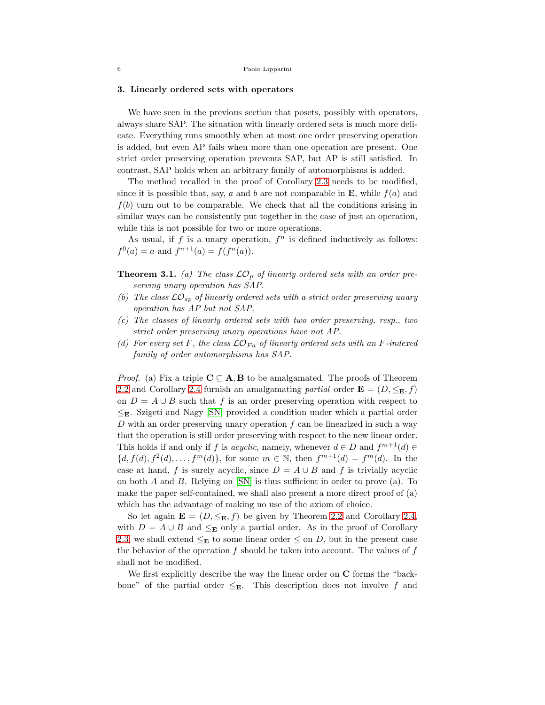#### <span id="page-5-0"></span>3. Linearly ordered sets with operators

We have seen in the previous section that posets, possibly with operators, always share SAP. The situation with linearly ordered sets is much more delicate. Everything runs smoothly when at most one order preserving operation is added, but even AP fails when more than one operation are present. One strict order preserving operation prevents SAP, but AP is still satisfied. In contrast, SAP holds when an arbitrary family of automorphisms is added.

The method recalled in the proof of Corollary [2.3](#page-3-2) needs to be modified, since it is possible that, say, a and b are not comparable in  $\mathbf{E}$ , while  $f(a)$  and  $f(b)$  turn out to be comparable. We check that all the conditions arising in similar ways can be consistently put together in the case of just an operation, while this is not possible for two or more operations.

As usual, if  $f$  is a unary operation,  $f^n$  is defined inductively as follows:  $f^{0}(a) = a$  and  $f^{n+1}(a) = f(f^{n}(a)).$ 

**Theorem 3.1.** (a) The class  $\mathcal{LO}_p$  of linearly ordered sets with an order preserving unary operation has SAP.

- (b) The class  $\mathcal{LO}_{sp}$  of linearly ordered sets with a strict order preserving unary operation has AP but not SAP.
- (c) The classes of linearly ordered sets with two order preserving, resp., two strict order preserving unary operations have not AP.
- (d) For every set F, the class  $\mathcal{LO}_{Fa}$  of linearly ordered sets with an F-indexed family of order automorphisms has SAP.

*Proof.* (a) Fix a triple  $C \subseteq A$ , **B** to be amalgamated. The proofs of Theorem [2.2](#page-3-0) and Corollary [2.4](#page-4-0) furnish an amalgamating partial order  $\mathbf{E} = (D, \leq_{\mathbf{E}}, f)$ on  $D = A \cup B$  such that f is an order preserving operation with respect to  $\leq_{\mathbf{E}}$ . Szigeti and Nagy [\[SN\]](#page-20-20) provided a condition under which a partial order D with an order preserving unary operation  $f$  can be linearized in such a way that the operation is still order preserving with respect to the new linear order. This holds if and only if f is *acyclic*, namely, whenever  $d \in D$  and  $f^{m+1}(d) \in$  $\{d, f(d), f^2(d), \ldots, f^m(d)\}\$ , for some  $m \in \mathbb{N}$ , then  $f^{m+1}(d) = f^m(d)$ . In the case at hand, f is surely acyclic, since  $D = A \cup B$  and f is trivially acyclic on both  $A$  and  $B$ . Relying on  $\text{[SN]}$  is thus sufficient in order to prove (a). To make the paper self-contained, we shall also present a more direct proof of (a) which has the advantage of making no use of the axiom of choice.

So let again  $\mathbf{E} = (D, \leq_{\mathbf{E}}, f)$  be given by Theorem [2.2](#page-3-0) and Corollary [2.4,](#page-4-0) with  $D = A \cup B$  and  $\leq_{\mathbf{E}}$  only a partial order. As in the proof of Corollary [2.3,](#page-3-2) we shall extend  $\leq_{\mathbf{E}}$  to some linear order  $\leq$  on D, but in the present case the behavior of the operation  $f$  should be taken into account. The values of  $f$ shall not be modified.

We first explicitly describe the way the linear order on C forms the "backbone" of the partial order  $\leq_{\mathbf{E}}$ . This description does not involve f and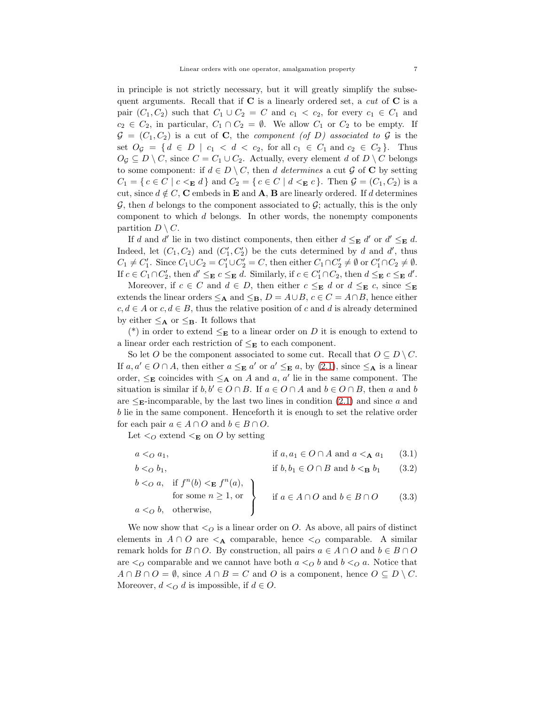in principle is not strictly necessary, but it will greatly simplify the subsequent arguments. Recall that if  $C$  is a linearly ordered set, a *cut* of  $C$  is a pair  $(C_1, C_2)$  such that  $C_1 \cup C_2 = C$  and  $c_1 < c_2$ , for every  $c_1 \in C_1$  and  $c_2 \in C_2$ , in particular,  $C_1 \cap C_2 = \emptyset$ . We allow  $C_1$  or  $C_2$  to be empty. If  $G = (C_1, C_2)$  is a cut of C, the *component* (of D) associated to G is the set  $O_{\mathcal{G}} = \{ d \in D \mid c_1 < d < c_2, \text{ for all } c_1 \in C_1 \text{ and } c_2 \in C_2 \}.$  Thus  $O_{\mathcal{G}} \subseteq D \setminus C$ , since  $C = C_1 \cup C_2$ . Actually, every element d of  $D \setminus C$  belongs to some component: if  $d \in D \setminus C$ , then d determines a cut G of C by setting  $C_1 = \{ c \in C \mid c \leq \mathbf{E} d \}$  and  $C_2 = \{ c \in C \mid d \leq \mathbf{E} c \}.$  Then  $\mathcal{G} = (C_1, C_2)$  is a cut, since  $d \notin C$ , C embeds in E and A, B are linearly ordered. If d determines  $\mathcal{G}$ , then d belongs to the component associated to  $\mathcal{G}$ ; actually, this is the only component to which d belongs. In other words, the nonempty components partition  $D \setminus C$ .

If d and d' lie in two distinct components, then either  $d \leq_{\mathbf{E}} d'$  or  $d' \leq_{\mathbf{E}} d$ . Indeed, let  $(C_1, C_2)$  and  $(C'_1, C'_2)$  be the cuts determined by d and d', thus  $C_1 \neq C'_1$ . Since  $C_1 \cup C_2 = C'_1 \cup C'_2 = C$ , then either  $C_1 \cap C'_2 \neq \emptyset$  or  $C'_1 \cap C_2 \neq \emptyset$ . If  $c \in C_1 \cap C_2'$ , then  $d' \leq_{\mathbf{E}} c \leq_{\mathbf{E}} d$ . Similarly, if  $c \in C_1' \cap C_2$ , then  $d \leq_{\mathbf{E}} c \leq_{\mathbf{E}} d'$ .

Moreover, if  $c \in C$  and  $d \in D$ , then either  $c \leq_{\mathbf{E}} d$  or  $d \leq_{\mathbf{E}} c$ , since  $\leq_{\mathbf{E}}$ extends the linear orders  $\leq_{\mathbf{A}}$  and  $\leq_{\mathbf{B}}$ ,  $D = A \cup B$ ,  $c \in C = A \cap B$ , hence either  $c, d \in A$  or  $c, d \in B$ , thus the relative position of c and d is already determined by either  $\leq_{\mathbf{A}}$  or  $\leq_{\mathbf{B}}$ . It follows that

(\*) in order to extend  $\leq_{\mathbf{E}}$  to a linear order on D it is enough to extend to a linear order each restriction of  $\leq_{\mathbf{E}}$  to each component.

So let O be the component associated to some cut. Recall that  $O \subseteq D \setminus C$ . If  $a, a' \in O \cap A$ , then either  $a \leq_{\mathbf{E}} a'$  or  $a' \leq_{\mathbf{E}} a$ , by [\(2.1\)](#page-3-1), since  $\leq_{\mathbf{A}}$  is a linear order,  $\leq_{\mathbf{E}}$  coincides with  $\leq_{\mathbf{A}}$  on A and a, a' lie in the same component. The situation is similar if  $b, b' \in O \cap B$ . If  $a \in O \cap A$  and  $b \in O \cap B$ , then a and b are  $\leq_{\mathbf{E}}$ -incomparable, by the last two lines in condition [\(2.1\)](#page-3-1) and since a and b lie in the same component. Henceforth it is enough to set the relative order for each pair  $a \in A \cap O$  and  $b \in B \cap O$ .

Let  $\lto_C$  extend  $\lt_E$  on O by setting

 $a \leq O a_1$ , if  $a, a_1 \in O \cap A$  and  $a \leq_{\mathbf{A}} a_1$  (3.1)

<span id="page-6-2"></span><span id="page-6-1"></span><span id="page-6-0"></span> $b <_O b_1$ , if  $b, b_1 \in O \cap B$  and  $b <_B b_1$  (3.2)

$$
b <_{O} a, \quad \text{if } f^{n}(b) <_{\mathbf{E}} f^{n}(a),
$$
  
for some  $n \ge 1$ , or  
 $a <_{O} b$ , otherwise,  

$$
\left.\begin{array}{c} \text{if } a \in A \cap O \text{ and } b \in B \cap O \\ \end{array}\right\} \qquad (3.3)
$$

We now show that  $\leq_O$  is a linear order on O. As above, all pairs of distinct elements in  $A \cap O$  are  $\leq_{\mathbf{A}}$  comparable, hence  $\leq_{\mathbf{O}}$  comparable. A similar remark holds for  $B \cap O$ . By construction, all pairs  $a \in A \cap O$  and  $b \in B \cap O$ are  $\lto O$  comparable and we cannot have both  $a \lto O b$  and  $b \lto O a$ . Notice that  $A \cap B \cap O = \emptyset$ , since  $A \cap B = C$  and O is a component, hence  $O \subseteq D \setminus C$ . Moreover,  $d <_{Q} d$  is impossible, if  $d \in O$ .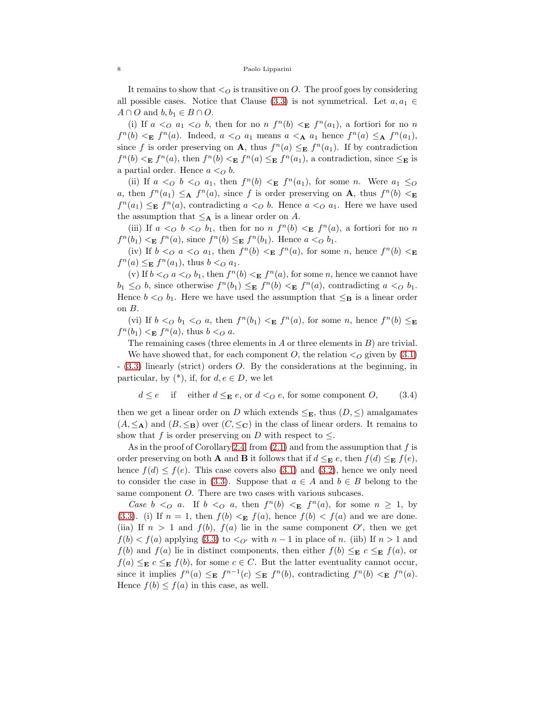It remains to show that  $\lt o$  is transitive on O. The proof goes by considering all possible cases. Notice that Clause [\(3.3\)](#page-6-0) is not symmetrical. Let  $a, a_1 \in$  $A \cap O$  and  $b, b_1 \in B \cap O$ .

(i) If  $a \leq_{O} a_{1} \leq_{O} b$ , then for no  $n f^{n}(b) \leq_{E} f^{n}(a_{1})$ , a fortiori for no n  $f^{n}(b) \leq_{\mathbf{E}} f^{n}(a)$ . Indeed,  $a \leq_{\mathbf{O}} a_1$  means  $a \leq_{\mathbf{A}} a_1$  hence  $f^{n}(a) \leq_{\mathbf{A}} f^{n}(a_1)$ , since f is order preserving on **A**, thus  $f^{n}(a) \leq_{\mathbf{E}} f^{n}(a_1)$ . If by contradiction  $f^{n}(b) \leq_{\mathbf{E}} f^{n}(a)$ , then  $f^{n}(b) \leq_{\mathbf{E}} f^{n}(a) \leq_{\mathbf{E}} f^{n}(a_1)$ , a contradiction, since  $\leq_{\mathbf{E}}$  is a partial order. Hence  $a <_Q b$ .

(ii) If  $a \leq_{O} b \leq_{O} a_1$ , then  $f^{n}(b) \leq_{E} f^{n}(a_1)$ , for some n. Were  $a_1 \leq_{O} a_1$ a, then  $f^{n}(a_1) \leq_{\mathbf{A}} f^{n}(a)$ , since f is order preserving on **A**, thus  $f^{n}(b) <_{\mathbf{E}}$  $f^{n}(a_1) \leq_{\mathbf{E}} f^{n}(a)$ , contradicting  $a \lt o b$ . Hence  $a \lt o a_1$ . Here we have used the assumption that  $\leq_{\mathbf{A}}$  is a linear order on A.

(iii) If  $a <_O b <_O b_1$ , then for no  $n f^n(b) <_E f^n(a)$ , a fortiori for no n  $f^{n}(b_1) <_{\mathbf{E}} f^{n}(a)$ , since  $f^{n}(b) \leq_{\mathbf{E}} f^{n}(b_1)$ . Hence  $a <_{\mathcal{O}} b_1$ .

(iv) If  $b < o$  a  $\lt o$  a<sub>1</sub>, then  $f^n(b) \lt E f^n(a)$ , for some n, hence  $f^n(b) \lt E$  $f^{n}(a) \leq_{\mathbf{E}} f^{n}(a_1)$ , thus  $b <_{Q} a_1$ .

(v) If  $b <_{Q} a <_{Q} b_1$ , then  $f^{n}(b) <_{\mathbf{E}} f^{n}(a)$ , for some n, hence we cannot have  $b_1 \leq_O b$ , since otherwise  $f^n(b_1) \leq_E f^n(b) \leq_E f^n(a)$ , contradicting  $a <_O b_1$ . Hence  $b <_{\mathcal{O}} b_1$ . Here we have used the assumption that  $\leq_{\mathbf{B}}$  is a linear order on  $B$ .

(vi) If  $b <_O b_1 <_O a$ , then  $f^n(b_1) <_E f^n(a)$ , for some n, hence  $f^n(b) \le_E$  $f^{n}(b_1) <_{\mathbf{E}} f^{n}(a)$ , thus  $b <_{O} a$ .

The remaining cases (three elements in  $A$  or three elements in  $B$ ) are trivial.

We have showed that, for each component O, the relation  $\langle O \rangle$  given by [\(3.1\)](#page-6-1) - [\(3.3\)](#page-6-0) linearly (strict) orders O. By the considerations at the beginning, in particular, by  $(*),$  if, for  $d, e \in D$ , we let

<span id="page-7-0"></span>
$$
d \le e \quad \text{if} \quad \text{either } d \le \mathbf{E} \ e, \text{ or } d <_{\mathcal{O}} e, \text{ for some component } O, \tag{3.4}
$$

then we get a linear order on D which extends  $\leq_E$ , thus  $(D, \leq)$  amalgamates  $(A, \leq_{\mathbf{A}})$  and  $(B, \leq_{\mathbf{B}})$  over  $(C, \leq_{\mathbf{C}})$  in the class of linear orders. It remains to show that f is order preserving on D with respect to  $\leq$ .

As in the proof of Corollary [2.4,](#page-4-0) from  $(2.1)$  and from the assumption that f is order preserving on both **A** and **B** it follows that if  $d \leq_{\mathbf{E}} e$ , then  $f(d) \leq_{\mathbf{E}} f(e)$ , hence  $f(d) \leq f(e)$ . This case covers also [\(3.1\)](#page-6-1) and [\(3.2\)](#page-6-2), hence we only need to consider the case in [\(3.3\)](#page-6-0). Suppose that  $a \in A$  and  $b \in B$  belong to the same component O. There are two cases with various subcases.

Case  $b \leq_{\mathcal{O}} a$ . If  $b \leq_{\mathcal{O}} a$ , then  $f^{n}(b) \leq_{\mathbf{E}} f^{n}(a)$ , for some  $n \geq 1$ , by [\(3.3\)](#page-6-0). (i) If  $n = 1$ , then  $f(b) < E$   $f(a)$ , hence  $f(b) < f(a)$  and we are done. (iia) If  $n > 1$  and  $f(b)$ ,  $f(a)$  lie in the same component O', then we get  $f(b) < f(a)$  applying [\(3.3\)](#page-6-0) to  $\lto_{Q'}$  with  $n-1$  in place of n. (iib) If  $n > 1$  and  $f(b)$  and  $f(a)$  lie in distinct components, then either  $f(b) \leq_{\mathbf{E}} c \leq_{\mathbf{E}} f(a)$ , or  $f(a) \leq_{\mathbf{E}} c \leq_{\mathbf{E}} f(b)$ , for some  $c \in C$ . But the latter eventuality cannot occur, since it implies  $f^{n}(a) \leq_{\mathbf{E}} f^{n-1}(c) \leq_{\mathbf{E}} f^{n}(b)$ , contradicting  $f^{n}(b) \leq_{\mathbf{E}} f^{n}(a)$ . Hence  $f(b) \leq f(a)$  in this case, as well.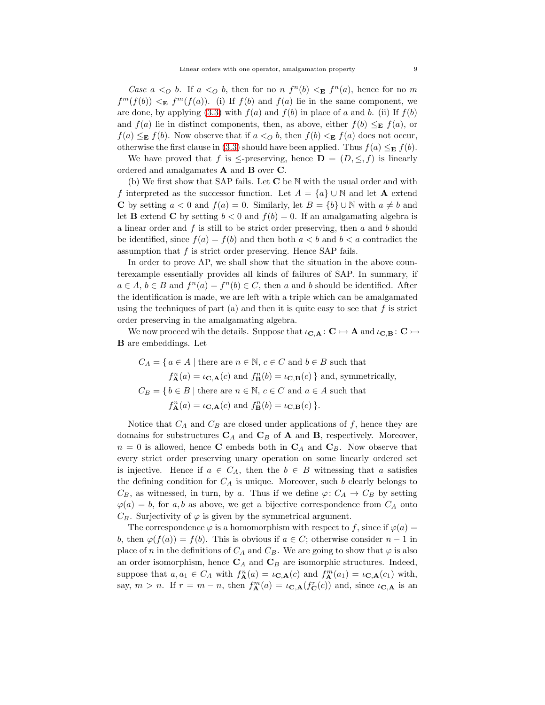Case  $a <_O b$ . If  $a <_O b$ , then for no  $n f^n(b) <_E f^n(a)$ , hence for no m  $f^{m}(f(b)) \leq_{\mathbf{E}} f^{m}(f(a))$ . (i) If  $f(b)$  and  $f(a)$  lie in the same component, we are done, by applying  $(3.3)$  with  $f(a)$  and  $f(b)$  in place of a and b. (ii) If  $f(b)$ and  $f(a)$  lie in distinct components, then, as above, either  $f(b) \leq_{\mathbf{E}} f(a)$ , or  $f(a) \leq_{\mathbf{E}} f(b)$ . Now observe that if  $a <_O b$ , then  $f(b) <_{\mathbf{E}} f(a)$  does not occur, otherwise the first clause in [\(3.3\)](#page-6-0) should have been applied. Thus  $f(a) \leq_E f(b)$ .

We have proved that f is  $\leq$ -preserving, hence  $\mathbf{D} = (D, \leq, f)$  is linearly ordered and amalgamates A and B over C.

(b) We first show that SAP fails. Let  $C$  be N with the usual order and with f interpreted as the successor function. Let  $A = \{a\} \cup \mathbb{N}$  and let **A** extend C by setting  $a < 0$  and  $f(a) = 0$ . Similarly, let  $B = \{b\} \cup \mathbb{N}$  with  $a \neq b$  and let **B** extend **C** by setting  $b < 0$  and  $f(b) = 0$ . If an amalgamating algebra is a linear order and  $f$  is still to be strict order preserving, then  $a$  and  $b$  should be identified, since  $f(a) = f(b)$  and then both  $a < b$  and  $b < a$  contradict the assumption that f is strict order preserving. Hence SAP fails.

In order to prove AP, we shall show that the situation in the above counterexample essentially provides all kinds of failures of SAP. In summary, if  $a \in A, b \in B$  and  $f^{n}(a) = f^{n}(b) \in C$ , then a and b should be identified. After the identification is made, we are left with a triple which can be amalgamated using the techniques of part (a) and then it is quite easy to see that  $f$  is strict order preserving in the amalgamating algebra.

We now proceed wih the details. Suppose that  $\iota_{\mathbf{C},\mathbf{A}}: \mathbf{C} \rightarrowtail \mathbf{A}$  and  $\iota_{\mathbf{C},\mathbf{B}}: \mathbf{C} \rightarrowtail$ B are embeddings. Let

 $C_A = \{ a \in A \mid \text{there are } n \in \mathbb{N}, c \in C \text{ and } b \in B \text{ such that }$  $f_{\mathbf{A}}^{n}(a) = \iota_{\mathbf{C},\mathbf{A}}(c)$  and  $f_{\mathbf{B}}^{n}(b) = \iota_{\mathbf{C},\mathbf{B}}(c)$  and, symmetrically,  $C_B = \{ b \in B \mid \text{there are } n \in \mathbb{N}, c \in C \text{ and } a \in A \text{ such that }$  $f_{\mathbf{A}}^{n}(a) = \iota_{\mathbf{C},\mathbf{A}}(c)$  and  $f_{\mathbf{B}}^{n}(b) = \iota_{\mathbf{C},\mathbf{B}}(c)$ .

Notice that  $C_A$  and  $C_B$  are closed under applications of f, hence they are domains for substructures  $C_A$  and  $C_B$  of  $A$  and  $B$ , respectively. Moreover,  $n = 0$  is allowed, hence **C** embeds both in  $C_A$  and  $C_B$ . Now observe that every strict order preserving unary operation on some linearly ordered set is injective. Hence if  $a \in C_A$ , then the  $b \in B$  witnessing that a satisfies the defining condition for  $C_A$  is unique. Moreover, such b clearly belongs to  $C_B$ , as witnessed, in turn, by a. Thus if we define  $\varphi: C_A \to C_B$  by setting  $\varphi(a) = b$ , for a, b as above, we get a bijective correspondence from  $C_A$  onto  $C_B$ . Surjectivity of  $\varphi$  is given by the symmetrical argument.

The correspondence  $\varphi$  is a homomorphism with respect to f, since if  $\varphi(a)$  = b, then  $\varphi(f(a)) = f(b)$ . This is obvious if  $a \in C$ ; otherwise consider  $n-1$  in place of n in the definitions of  $C_A$  and  $C_B$ . We are going to show that  $\varphi$  is also an order isomorphism, hence  $C_A$  and  $C_B$  are isomorphic structures. Indeed, suppose that  $a, a_1 \in C_A$  with  $f_{\mathbf{A}}^n(a) = \iota_{\mathbf{C},\mathbf{A}}(c)$  and  $f_{\mathbf{A}}^m(a_1) = \iota_{\mathbf{C},\mathbf{A}}(c_1)$  with, say,  $m > n$ . If  $r = m - n$ , then  $f_{\mathbf{A}}^{m}(a) = \iota_{\mathbf{C},\mathbf{A}}(f_{\mathbf{C}}^{r}(c))$  and, since  $\iota_{\mathbf{C},\mathbf{A}}$  is an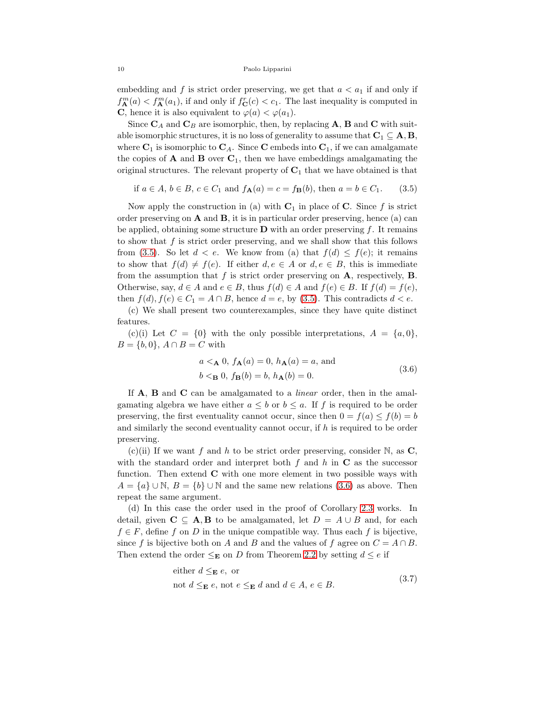embedding and f is strict order preserving, we get that  $a < a_1$  if and only if  $f_{\mathbf{A}}^{m}(a) < f_{\mathbf{A}}^{m}(a_1)$ , if and only if  $f_{\mathbf{C}}^{r}(c) < c_1$ . The last inequality is computed in **C**, hence it is also equivalent to  $\varphi(a) < \varphi(a_1)$ .

Since  $C_A$  and  $C_B$  are isomorphic, then, by replacing A, B and C with suitable isomorphic structures, it is no loss of generality to assume that  $C_1 \subseteq A, B$ , where  $C_1$  is isomorphic to  $C_A$ . Since C embeds into  $C_1$ , if we can amalgamate the copies of **A** and **B** over  $C_1$ , then we have embeddings amalgamating the original structures. The relevant property of  $C_1$  that we have obtained is that

<span id="page-9-0"></span>if 
$$
a \in A
$$
,  $b \in B$ ,  $c \in C_1$  and  $f_{\mathbf{A}}(a) = c = f_{\mathbf{B}}(b)$ , then  $a = b \in C_1$ . (3.5)

Now apply the construction in (a) with  $C_1$  in place of C. Since f is strict order preserving on  $A$  and  $B$ , it is in particular order preserving, hence (a) can be applied, obtaining some structure  $\bf{D}$  with an order preserving f. It remains to show that  $f$  is strict order preserving, and we shall show that this follows from [\(3.5\)](#page-9-0). So let  $d < e$ . We know from (a) that  $f(d) \leq f(e)$ ; it remains to show that  $f(d) \neq f(e)$ . If either  $d, e \in A$  or  $d, e \in B$ , this is immediate from the assumption that  $f$  is strict order preserving on  $A$ , respectively,  $B$ . Otherwise, say,  $d \in A$  and  $e \in B$ , thus  $f(d) \in A$  and  $f(e) \in B$ . If  $f(d) = f(e)$ , then  $f(d), f(e) \in C_1 = A \cap B$ , hence  $d = e$ , by [\(3.5\)](#page-9-0). This contradicts  $d < e$ .

(c) We shall present two counterexamples, since they have quite distinct features.

(c)(i) Let  $C = \{0\}$  with the only possible interpretations,  $A = \{a, 0\}$ ,  $B = \{b, 0\}, A \cap B = C$  with

<span id="page-9-1"></span>
$$
a <_{\mathbf{A}} 0, f_{\mathbf{A}}(a) = 0, h_{\mathbf{A}}(a) = a, \text{ and}
$$
  

$$
b <_{\mathbf{B}} 0, f_{\mathbf{B}}(b) = b, h_{\mathbf{A}}(b) = 0.
$$
 (3.6)

If **A**, **B** and **C** can be amalgamated to a *linear* order, then in the amalgamating algebra we have either  $a \leq b$  or  $b \leq a$ . If f is required to be order preserving, the first eventuality cannot occur, since then  $0 = f(a) \leq f(b) = b$ and similarly the second eventuality cannot occur, if h is required to be order preserving.

(c)(ii) If we want f and h to be strict order preserving, consider N, as  $\mathbf{C}$ , with the standard order and interpret both f and h in  $C$  as the successor function. Then extend  $C$  with one more element in two possible ways with  $A = \{a\} \cup \mathbb{N}, B = \{b\} \cup \mathbb{N}$  and the same new relations [\(3.6\)](#page-9-1) as above. Then repeat the same argument.

(d) In this case the order used in the proof of Corollary [2.3](#page-3-2) works. In detail, given  $C \subseteq A, B$  to be amalgamated, let  $D = A \cup B$  and, for each  $f \in F$ , define f on D in the unique compatible way. Thus each f is bijective, since f is bijective both on A and B and the values of f agree on  $C = A \cap B$ . Then extend the order  $\leq_{\mathbf{E}}$  on D from Theorem [2.2](#page-3-0) by setting  $d \leq e$  if

<span id="page-9-2"></span>either 
$$
d \leq_{\mathbf{E}} e
$$
, or  
not  $d \leq_{\mathbf{E}} e$ , not  $e \leq_{\mathbf{E}} d$  and  $d \in A$ ,  $e \in B$ . (3.7)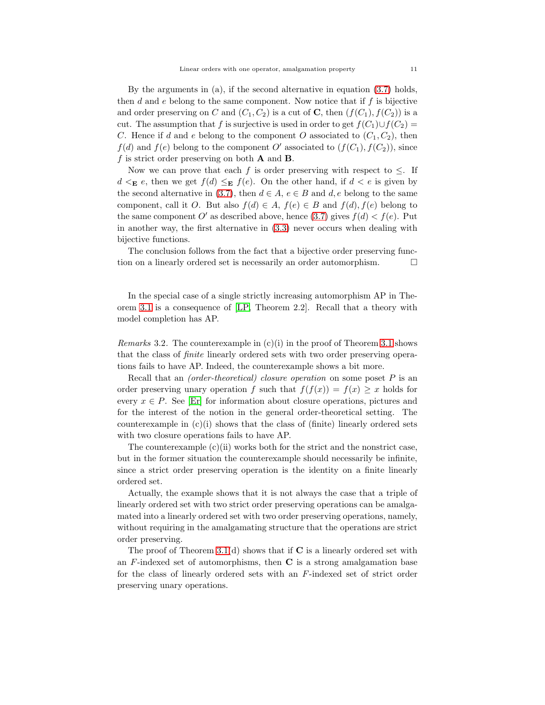By the arguments in (a), if the second alternative in equation [\(3.7\)](#page-9-2) holds, then  $d$  and  $e$  belong to the same component. Now notice that if  $f$  is bijective and order preserving on C and  $(C_1, C_2)$  is a cut of **C**, then  $(f(C_1), f(C_2))$  is a cut. The assumption that f is surjective is used in order to get  $f(C_1) \cup f(C_2) =$ C. Hence if d and e belong to the component O associated to  $(C_1, C_2)$ , then  $f(d)$  and  $f(e)$  belong to the component O' associated to  $(f(C_1), f(C_2))$ , since f is strict order preserving on both  $\bf{A}$  and  $\bf{B}$ .

Now we can prove that each f is order preserving with respect to  $\leq$ . If  $d \leq_{\mathbf{E}} e$ , then we get  $f(d) \leq_{\mathbf{E}} f(e)$ . On the other hand, if  $d \leq e$  is given by the second alternative in [\(3.7\)](#page-9-2), then  $d \in A$ ,  $e \in B$  and  $d$ , e belong to the same component, call it O. But also  $f(d) \in A$ ,  $f(e) \in B$  and  $f(d)$ ,  $f(e)$  belong to the same component O' as described above, hence [\(3.7\)](#page-9-2) gives  $f(d) < f(e)$ . Put in another way, the first alternative in [\(3.3\)](#page-6-0) never occurs when dealing with bijective functions.

The conclusion follows from the fact that a bijective order preserving function on a linearly ordered set is necessarily an order automorphism.  $\Box$ 

In the special case of a single strictly increasing automorphism AP in Theorem 3.1 is a consequence of [\[LP,](#page-20-13) Theorem 2.2]. Recall that a theory with model completion has AP.

<span id="page-10-0"></span>*Remarks* 3.2. The counterexample in  $(c)(i)$  in the proof of Theorem 3.1 shows that the class of finite linearly ordered sets with two order preserving operations fails to have AP. Indeed, the counterexample shows a bit more.

Recall that an *(order-theoretical)* closure operation on some poset P is an order preserving unary operation f such that  $f(f(x)) = f(x) \geq x$  holds for every  $x \in P$ . See [\[Er\]](#page-20-21) for information about closure operations, pictures and for the interest of the notion in the general order-theoretical setting. The counterexample in  $(c)(i)$  shows that the class of (finite) linearly ordered sets with two closure operations fails to have AP.

The counterexample  $(c)(ii)$  works both for the strict and the nonstrict case, but in the former situation the counterexample should necessarily be infinite, since a strict order preserving operation is the identity on a finite linearly ordered set.

Actually, the example shows that it is not always the case that a triple of linearly ordered set with two strict order preserving operations can be amalgamated into a linearly ordered set with two order preserving operations, namely, without requiring in the amalgamating structure that the operations are strict order preserving.

The proof of Theorem 3.1(d) shows that if  $C$  is a linearly ordered set with an  $F$ -indexed set of automorphisms, then  $C$  is a strong amalgamation base for the class of linearly ordered sets with an F-indexed set of strict order preserving unary operations.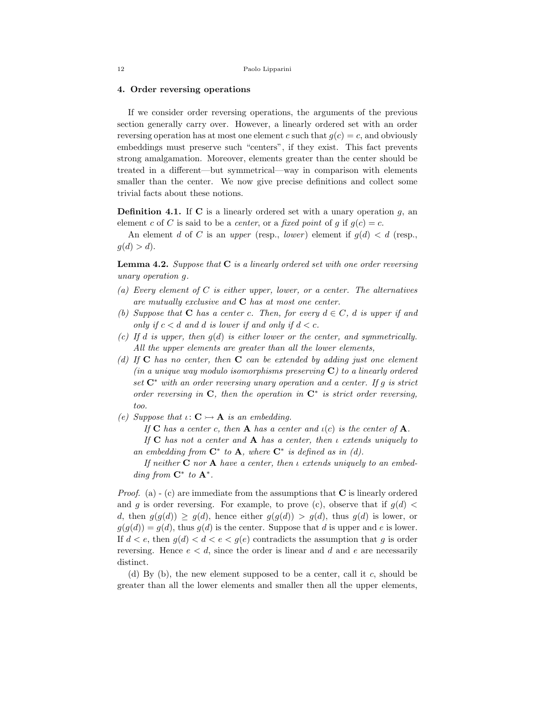# <span id="page-11-0"></span>4. Order reversing operations

If we consider order reversing operations, the arguments of the previous section generally carry over. However, a linearly ordered set with an order reversing operation has at most one element c such that  $g(c) = c$ , and obviously embeddings must preserve such "centers", if they exist. This fact prevents strong amalgamation. Moreover, elements greater than the center should be treated in a different—but symmetrical—way in comparison with elements smaller than the center. We now give precise definitions and collect some trivial facts about these notions.

**Definition 4.1.** If C is a linearly ordered set with a unary operation  $q$ , an element c of C is said to be a center, or a fixed point of g if  $g(c) = c$ .

An element d of C is an upper (resp., lower) element if  $g(d) < d$  (resp.,  $q(d) > d$ .

<span id="page-11-1"></span>**Lemma 4.2.** Suppose that  $C$  is a linearly ordered set with one order reversing unary operation g.

- (a) Every element of C is either upper, lower, or a center. The alternatives are mutually exclusive and  $C$  has at most one center.
- (b) Suppose that **C** has a center c. Then, for every  $d \in C$ , d is upper if and only if  $c < d$  and d is lower if and only if  $d < c$ .
- (c) If d is upper, then  $g(d)$  is either lower or the center, and symmetrically. All the upper elements are greater than all the lower elements,
- (d) If  $C$  has no center, then  $C$  can be extended by adding just one element (in a unique way modulo isomorphisms preserving  $C$ ) to a linearly ordered set  $\mathbb{C}^*$  with an order reversing unary operation and a center. If g is strict order reversing in  $C$ , then the operation in  $C^*$  is strict order reversing, too.
- (e) Suppose that  $\iota: \mathbf{C} \rightarrow \mathbf{A}$  is an embedding.

If C has a center c, then A has a center and  $\iota(c)$  is the center of A.

If  $C$  has not a center and  $A$  has a center, then  $\iota$  extends uniquely to an embedding from  $\mathbb{C}^*$  to  $\mathbb{A}$ , where  $\mathbb{C}^*$  is defined as in (d).

If neither  $C$  nor  $A$  have a center, then  $\iota$  extends uniquely to an embedding from  $\mathbf{C}^*$  to  $\mathbf{A}^*$ .

*Proof.* (a)  $\overline{\phantom{a}}$  (c) are immediate from the assumptions that **C** is linearly ordered and g is order reversing. For example, to prove (c), observe that if  $g(d)$  < d, then  $g(g(d)) \ge g(d)$ , hence either  $g(g(d)) > g(d)$ , thus  $g(d)$  is lower, or  $g(g(d)) = g(d)$ , thus  $g(d)$  is the center. Suppose that d is upper and e is lower. If  $d < e$ , then  $g(d) < d < e < g(e)$  contradicts the assumption that g is order reversing. Hence  $e < d$ , since the order is linear and d and e are necessarily distinct.

(d) By (b), the new element supposed to be a center, call it c, should be greater than all the lower elements and smaller then all the upper elements,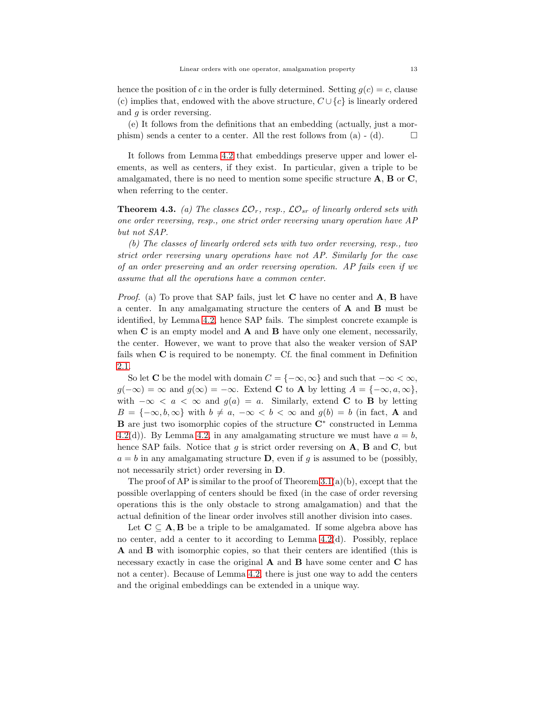hence the position of c in the order is fully determined. Setting  $g(c) = c$ , clause (c) implies that, endowed with the above structure,  $C \cup \{c\}$  is linearly ordered and  $q$  is order reversing.

(e) It follows from the definitions that an embedding (actually, just a morphism) sends a center to a center. All the rest follows from (a) - (d).  $\Box$ 

It follows from Lemma [4.2](#page-11-1) that embeddings preserve upper and lower elements, as well as centers, if they exist. In particular, given a triple to be amalgamated, there is no need to mention some specific structure  $\mathbf{A}, \mathbf{B}$  or  $\mathbf{C},$ when referring to the center.

<span id="page-12-0"></span>**Theorem 4.3.** (a) The classes  $\mathcal{LO}_r$ , resp.,  $\mathcal{LO}_{sr}$  of linearly ordered sets with one order reversing, resp., one strict order reversing unary operation have AP but not SAP.

(b) The classes of linearly ordered sets with two order reversing, resp., two strict order reversing unary operations have not AP. Similarly for the case of an order preserving and an order reversing operation. AP fails even if we assume that all the operations have a common center.

*Proof.* (a) To prove that SAP fails, just let **C** have no center and  $\bf{A}$ , **B** have a center. In any amalgamating structure the centers of A and B must be identified, by Lemma [4.2,](#page-11-1) hence SAP fails. The simplest concrete example is when  $C$  is an empty model and  $A$  and  $B$  have only one element, necessarily, the center. However, we want to prove that also the weaker version of SAP fails when C is required to be nonempty. Cf. the final comment in Definition [2.1.](#page-2-0)

So let C be the model with domain  $C = \{-\infty, \infty\}$  and such that  $-\infty < \infty$ ,  $g(-\infty) = \infty$  and  $g(\infty) = -\infty$ . Extend **C** to **A** by letting  $A = \{-\infty, a, \infty\},$ with  $-\infty < a < \infty$  and  $g(a) = a$ . Similarly, extend **C** to **B** by letting  $B = \{-\infty, b, \infty\}$  with  $b \neq a, -\infty < b < \infty$  and  $g(b) = b$  (in fact, **A** and **B** are just two isomorphic copies of the structure  $\mathbb{C}^*$  constructed in Lemma [4.2\(](#page-11-1)d)). By Lemma [4.2,](#page-11-1) in any amalgamating structure we must have  $a = b$ , hence SAP fails. Notice that  $g$  is strict order reversing on  $A$ ,  $B$  and  $C$ , but  $a = b$  in any amalgamating structure **D**, even if g is assumed to be (possibly, not necessarily strict) order reversing in D.

The proof of AP is similar to the proof of Theorem  $3.1(a)(b)$ , except that the possible overlapping of centers should be fixed (in the case of order reversing operations this is the only obstacle to strong amalgamation) and that the actual definition of the linear order involves still another division into cases.

Let  $C \subseteq A, B$  be a triple to be amalgamated. If some algebra above has no center, add a center to it according to Lemma [4.2\(](#page-11-1)d). Possibly, replace A and B with isomorphic copies, so that their centers are identified (this is necessary exactly in case the original  $A$  and  $B$  have some center and  $C$  has not a center). Because of Lemma [4.2,](#page-11-1) there is just one way to add the centers and the original embeddings can be extended in a unique way.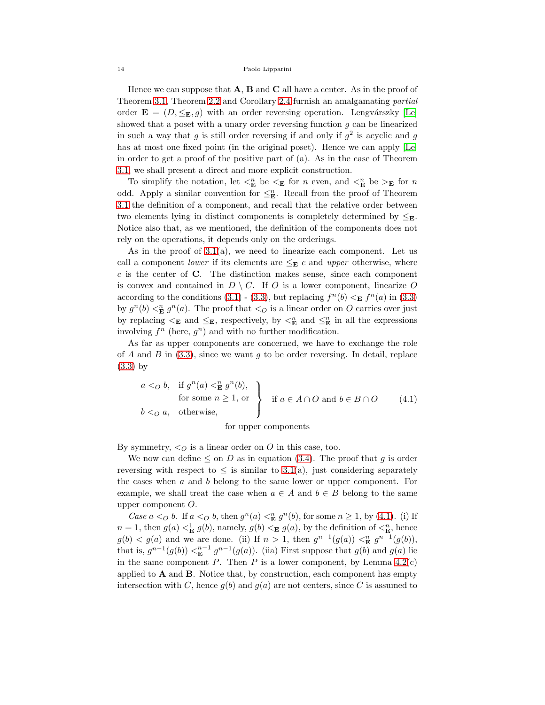Hence we can suppose that  $\mathbf{A}, \mathbf{B}$  and  $\mathbf{C}$  all have a center. As in the proof of Theorem 3.1, Theorem [2.2](#page-3-0) and Corollary [2.4](#page-4-0) furnish an amalgamating partial order  $\mathbf{E} = (D, \leq_{\mathbf{E}}, g)$  with an order reversing operation. Lengvárszky [\[Le\]](#page-20-22) showed that a poset with a unary order reversing function  $g$  can be linearized in such a way that g is still order reversing if and only if  $g^2$  is acyclic and g has at most one fixed point (in the original poset). Hence we can apply [\[Le\]](#page-20-22) in order to get a proof of the positive part of (a). As in the case of Theorem 3.1, we shall present a direct and more explicit construction.

To simplify the notation, let  $\lt_k^n$  be  $\lt_k$  for n even, and  $\lt_k^n$  be  $\gt_k$  for n odd. Apply a similar convention for  $\leq_{\mathbf{E}}^n$ . Recall from the proof of Theorem 3.1 the definition of a component, and recall that the relative order between two elements lying in distinct components is completely determined by  $\leq_{\mathbf{E}}$ . Notice also that, as we mentioned, the definition of the components does not rely on the operations, it depends only on the orderings.

As in the proof of  $3.1(a)$ , we need to linearize each component. Let us call a component *lower* if its elements are  $\leq_{\mathbf{E}} c$  and *upper* otherwise, where  $c$  is the center of  $C$ . The distinction makes sense, since each component is convex and contained in  $D \setminus C$ . If O is a lower component, linearize O according to the conditions [\(3.1\)](#page-6-1) - [\(3.3\)](#page-6-0), but replacing  $f^{(n)}(b) \leq_{\mathbf{E}} f^{(n)}(a)$  in (3.3) by  $g^{n}(b) <_{\mathbf{E}}^{n} g^{n}(a)$ . The proof that  $\langle \circ \rangle$  is a linear order on O carries over just by replacing  $\leq_{\mathbf{E}}$  and  $\leq_{\mathbf{E}}$ , respectively, by  $\leq_{\mathbf{E}}^n$  and  $\leq_{\mathbf{E}}^n$  in all the expressions involving  $f^n$  (here,  $g^n$ ) and with no further modification.

As far as upper components are concerned, we have to exchange the role of A and B in  $(3.3)$ , since we want q to be order reversing. In detail, replace [\(3.3\)](#page-6-0) by

$$
\begin{array}{c}\n a <_O b, & \text{if } g^n(a) <^n_{\mathbf{E}} g^n(b), \\
\text{for some } n \ge 1, \text{ or} \\
b <_O a, & \text{otherwise,}\n\end{array}\n\bigg\} \quad \text{if } a \in A \cap O \text{ and } b \in B \cap O \tag{4.1}
$$

<span id="page-13-0"></span>for upper components

By symmetry,  $\langle \rangle$  is a linear order on O in this case, too.

We now can define  $\leq$  on D as in equation [\(3.4\)](#page-7-0). The proof that g is order reversing with respect to  $\leq$  is similar to 3.1(a), just considering separately the cases when  $a$  and  $b$  belong to the same lower or upper component. For example, we shall treat the case when  $a \in A$  and  $b \in B$  belong to the same upper component O.

Case  $a <_O b$ . If  $a <_O b$ , then  $g^n(a) <_{\mathbf{E}}^n g^n(b)$ , for some  $n \geq 1$ , by [\(4.1\)](#page-13-0). (i) If  $n = 1$ , then  $g(a) < \mathbf{E} g(b)$ , namely,  $g(b) < \mathbf{E} g(a)$ , by the definition of  $\lt_{\mathbf{E}}^n$ , hence  $g(b) < g(a)$  and we are done. (ii) If  $n > 1$ , then  $g^{n-1}(g(a)) <_{\mathbf{E}}^n g^{n-1}(g(b))$ , that is,  $g^{n-1}(g(b)) <_{\mathbf{E}}^{n-1} g^{n-1}(g(a))$ . (iia) First suppose that  $g(b)$  and  $g(a)$  lie in the same component  $P$ . Then  $P$  is a lower component, by Lemma [4.2\(](#page-11-1)c) applied to  $\bf{A}$  and  $\bf{B}$ . Notice that, by construction, each component has empty intersection with C, hence  $g(b)$  and  $g(a)$  are not centers, since C is assumed to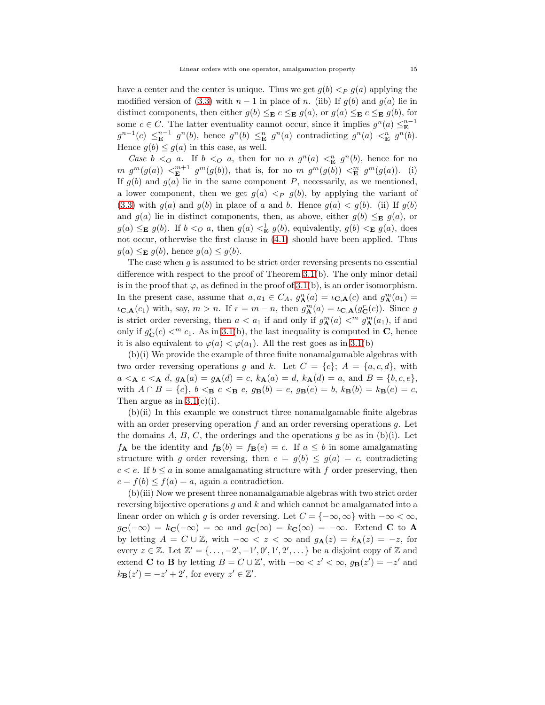have a center and the center is unique. Thus we get  $g(b) <_P g(a)$  applying the modified version of [\(3.3\)](#page-6-0) with  $n-1$  in place of n. (iib) If  $g(b)$  and  $g(a)$  lie in distinct components, then either  $g(b) \leq_{\mathbf{E}} c \leq_{\mathbf{E}} g(a)$ , or  $g(a) \leq_{\mathbf{E}} c \leq_{\mathbf{E}} g(b)$ , for some  $c \in C$ . The latter eventuality cannot occur, since it implies  $g^{n}(a) \leq_{\mathbf{E}}^{n-1}$  $g^{n-1}(c) \leq_{\mathbf{E}}^{n-1} g^n(b)$ , hence  $g^n(b) \leq_{\mathbf{E}}^{n} g^n(a)$  contradicting  $g^n(a) \leq_{\mathbf{E}}^{n} g^n(b)$ . Hence  $g(b) \leq g(a)$  in this case, as well.

Case  $b < o$  a. If  $b < o$  a, then for no n  $g<sup>n</sup>(a) < E<sup>n</sup>$  g<sup>n</sup>(b), hence for no  $m \thinspace g^m(g(a)) \thinspace \leq^m_{\mathbf{E}} \thinspace g^m(g(b)),$  that is, for no  $m \thinspace g^m(g(b)) \thinspace \leq^m_{\mathbf{E}} \thinspace g^m(g(a)).$  (i) If  $g(b)$  and  $g(a)$  lie in the same component P, necessarily, as we mentioned, a lower component, then we get  $g(a) <_P g(b)$ , by applying the variant of [\(3.3\)](#page-6-0) with  $g(a)$  and  $g(b)$  in place of a and b. Hence  $g(a) < g(b)$ . (ii) If  $g(b)$ and  $g(a)$  lie in distinct components, then, as above, either  $g(b) \leq_{\mathbf{E}} g(a)$ , or  $g(a) \leq_{\mathbf{E}} g(b)$ . If  $b <_{Q} a$ , then  $g(a) <_{\mathbf{E}} g(b)$ , equivalently,  $g(b) <_{\mathbf{E}} g(a)$ , does not occur, otherwise the first clause in [\(4.1\)](#page-13-0) should have been applied. Thus  $g(a) \leq_{\mathbf{E}} g(b)$ , hence  $g(a) \leq g(b)$ .

The case when  $g$  is assumed to be strict order reversing presents no essential difference with respect to the proof of Theorem 3.1(b). The only minor detail is in the proof that  $\varphi$ , as defined in the proof of 3.1(b), is an order isomorphism. In the present case, assume that  $a, a_1 \in C_A$ ,  $g_{\mathbf{A}}^n(a) = \iota_{\mathbf{C},\mathbf{A}}(c)$  and  $g_{\mathbf{A}}^m(a_1) =$  $\iota_{\mathbf{C},\mathbf{A}}(c_1)$  with, say,  $m > n$ . If  $r = m - n$ , then  $g_{\mathbf{A}}^m(a) = \iota_{\mathbf{C},\mathbf{A}}(g_{\mathbf{C}}^r(c))$ . Since g is strict order reversing, then  $a < a_1$  if and only if  $g_{\mathbf{A}}^m(a) <^m g_{\mathbf{A}}^m(a_1)$ , if and only if  $g_C^r(c) <^m c_1$ . As in 3.1(b), the last inequality is computed in C, hence it is also equivalent to  $\varphi(a) < \varphi(a_1)$ . All the rest goes as in 3.1(b)

(b)(i) We provide the example of three finite nonamalgamable algebras with two order reversing operations g and k. Let  $C = \{c\}$ ;  $A = \{a, c, d\}$ , with  $a \leq_{\mathbf{A}} c \leq_{\mathbf{A}} d$ ,  $g_{\mathbf{A}}(a) = g_{\mathbf{A}}(d) = c$ ,  $k_{\mathbf{A}}(a) = d$ ,  $k_{\mathbf{A}}(d) = a$ , and  $B = \{b, c, e\}$ , with  $A \cap B = \{c\}$ ,  $b <_{\mathbf{B}} c <_{\mathbf{B}} e$ ,  $g_{\mathbf{B}}(b) = e$ ,  $g_{\mathbf{B}}(e) = b$ ,  $k_{\mathbf{B}}(b) = k_{\mathbf{B}}(e) = c$ , Then argue as in  $3.1(c)(i)$ .

 $(b)(ii)$  In this example we construct three nonamalgamable finite algebras with an order preserving operation f and an order reversing operations  $g$ . Let the domains A, B, C, the orderings and the operations g be as in  $(b)(i)$ . Let  $f_{\mathbf{A}}$  be the identity and  $f_{\mathbf{B}}(b) = f_{\mathbf{B}}(e) = c$ . If  $a \leq b$  in some amalgamating structure with g order reversing, then  $e = g(b) \le g(a) = c$ , contradicting  $c < e$ . If  $b \le a$  in some amalgamating structure with f order preserving, then  $c = f(b) \leq f(a) = a$ , again a contradiction.

(b)(iii) Now we present three nonamalgamable algebras with two strict order reversing bijective operations  $g$  and  $k$  and which cannot be amalgamated into a linear order on which g is order reversing. Let  $C = \{ -\infty, \infty \}$  with  $-\infty < \infty$ ,  $g_{\mathbf{C}}(-\infty) = k_{\mathbf{C}}(-\infty) = \infty$  and  $g_{\mathbf{C}}(\infty) = k_{\mathbf{C}}(\infty) = -\infty$ . Extend **C** to **A** by letting  $A = C \cup \mathbb{Z}$ , with  $-\infty < z < \infty$  and  $g_{\mathbf{A}}(z) = k_{\mathbf{A}}(z) = -z$ , for every  $z \in \mathbb{Z}$ . Let  $\mathbb{Z}' = {\ldots, -2', -1', 0', 1', 2', \ldots}$  be a disjoint copy of  $\mathbb{Z}$  and extend **C** to **B** by letting  $B = C \cup \mathbb{Z}'$ , with  $-\infty < z' < \infty$ ,  $g_B(z') = -z'$  and  $k_{\mathbf{B}}(z') = -z' + 2'$ , for every  $z' \in \mathbb{Z}'$ .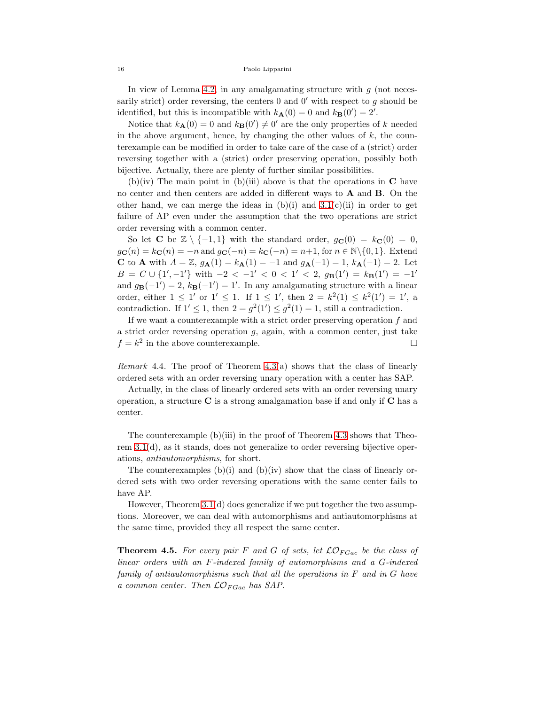In view of Lemma [4.2,](#page-11-1) in any amalgamating structure with  $g$  (not necessarily strict) order reversing, the centers  $0$  and  $0'$  with respect to g should be identified, but this is incompatible with  $k_{\mathbf{A}}(0) = 0$  and  $k_{\mathbf{B}}(0') = 2'$ .

Notice that  $k_{\mathbf{A}}(0) = 0$  and  $k_{\mathbf{B}}(0') \neq 0'$  are the only properties of k needed in the above argument, hence, by changing the other values of  $k$ , the counterexample can be modified in order to take care of the case of a (strict) order reversing together with a (strict) order preserving operation, possibly both bijective. Actually, there are plenty of further similar possibilities.

(b)(iv) The main point in (b)(iii) above is that the operations in  $\mathbb C$  have no center and then centers are added in different ways to A and B. On the other hand, we can merge the ideas in  $(b)(i)$  and  $3.1(c)(ii)$  in order to get failure of AP even under the assumption that the two operations are strict order reversing with a common center.

So let **C** be  $\mathbb{Z} \setminus \{-1,1\}$  with the standard order,  $g_{\mathbf{C}}(0) = k_{\mathbf{C}}(0) = 0$ ,  $g_{\mathbf{C}}(n) = k_{\mathbf{C}}(n) = -n$  and  $g_{\mathbf{C}}(-n) = k_{\mathbf{C}}(-n) = n+1$ , for  $n \in \mathbb{N} \setminus \{0, 1\}$ . Extend **C** to **A** with  $A = \mathbb{Z}$ ,  $g_{\mathbf{A}}(1) = k_{\mathbf{A}}(1) = -1$  and  $g_{\mathbf{A}}(-1) = 1$ ,  $k_{\mathbf{A}}(-1) = 2$ . Let  $B = C \cup \{1', -1'\}$  with  $-2 < -1' < 0 < 1' < 2$ ,  $g_{\mathbf{B}}(1') = k_{\mathbf{B}}(1') = -1'$ and  $g_{\mathbf{B}}(-1') = 2$ ,  $k_{\mathbf{B}}(-1') = 1'$ . In any amalgamating structure with a linear order, either  $1 \leq 1'$  or  $1' \leq 1$ . If  $1 \leq 1'$ , then  $2 = k^2(1) \leq k^2(1') = 1'$ , a contradiction. If  $1' \leq 1$ , then  $2 = g^2(1') \leq g^2(1) = 1$ , still a contradiction.

If we want a counterexample with a strict order preserving operation  $f$  and a strict order reversing operation  $g$ , again, with a common center, just take  $f = k^2$  in the above counterexample.

*Remark* 4.4. The proof of Theorem  $4.3(a)$  shows that the class of linearly ordered sets with an order reversing unary operation with a center has SAP.

Actually, in the class of linearly ordered sets with an order reversing unary operation, a structure  $C$  is a strong amalgamation base if and only if  $C$  has a center.

The counterexample (b)(iii) in the proof of Theorem [4.3](#page-12-0) shows that Theorem 3.1(d), as it stands, does not generalize to order reversing bijective operations, antiautomorphisms, for short.

The counterexamples  $(b)(i)$  and  $(b)(iv)$  show that the class of linearly ordered sets with two order reversing operations with the same center fails to have AP.

However, Theorem 3.1(d) does generalize if we put together the two assumptions. Moreover, we can deal with automorphisms and antiautomorphisms at the same time, provided they all respect the same center.

<span id="page-15-0"></span>**Theorem 4.5.** For every pair F and G of sets, let  $\mathcal{LO}_{FGac}$  be the class of linear orders with an F-indexed family of automorphisms and a G-indexed family of antiautomorphisms such that all the operations in F and in G have a common center. Then  $\mathcal{LO}_{FGac}$  has SAP.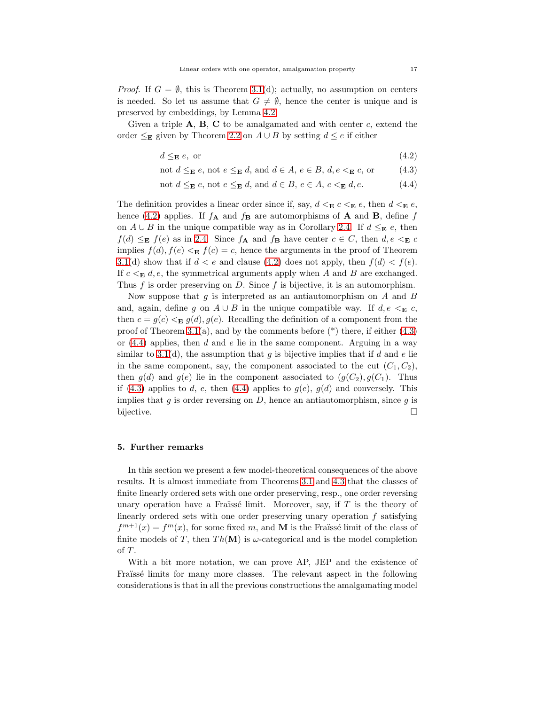*Proof.* If  $G = \emptyset$ , this is Theorem 3.1(d); actually, no assumption on centers is needed. So let us assume that  $G \neq \emptyset$ , hence the center is unique and is preserved by embeddings, by Lemma [4.2.](#page-11-1)

Given a triple  $A$ ,  $B$ ,  $C$  to be amalgamated and with center c, extend the order  $\leq$ **E** given by Theorem [2.2](#page-3-0) on  $A ∪ B$  by setting  $d ≤ e$  if either

$$
d \leq_{\mathbf{E}} e, \text{ or } (4.2)
$$

<span id="page-16-2"></span><span id="page-16-1"></span>not  $d \leq_{\mathbf{E}} e$ , not  $e \leq_{\mathbf{E}} d$ , and  $d \in A$ ,  $e \in B$ ,  $d$ ,  $e \leq_{\mathbf{E}} c$ , or (4.3)

<span id="page-16-3"></span>not 
$$
d \leq_{\mathbf{E}} e
$$
, not  $e \leq_{\mathbf{E}} d$ , and  $d \in B$ ,  $e \in A$ ,  $c <_{\mathbf{E}} d$ ,  $e$ . (4.4)

The definition provides a linear order since if, say,  $d <_{\mathbf{E}} c <_{\mathbf{E}} e$ , then  $d <_{\mathbf{E}} e$ , hence [\(4.2\)](#page-16-1) applies. If  $f_{\mathbf{A}}$  and  $f_{\mathbf{B}}$  are automorphisms of **A** and **B**, define f on  $A \cup B$  in the unique compatible way as in Corollary [2.4.](#page-4-0) If  $d \leq_{\mathbf{E}} e$ , then  $f(d) \leq_{\mathbf{E}} f(e)$  as in [2.4.](#page-4-0) Since  $f_{\mathbf{A}}$  and  $f_{\mathbf{B}}$  have center  $c \in C$ , then  $d, e \leq_{\mathbf{E}} c$ implies  $f(d), f(e) <_{\mathbf{E}} f(c) = c$ , hence the arguments in the proof of Theorem 3.1(d) show that if  $d < e$  and clause [\(4.2\)](#page-16-1) does not apply, then  $f(d) < f(e)$ . If  $c \leq_{\mathbf{E}} d, e$ , the symmetrical arguments apply when A and B are exchanged. Thus  $f$  is order preserving on  $D$ . Since  $f$  is bijective, it is an automorphism.

Now suppose that  $g$  is interpreted as an antiautomorphism on  $A$  and  $B$ and, again, define g on  $A \cup B$  in the unique compatible way. If  $d, e \leq_{\mathbf{E}} c$ , then  $c = g(c) <_{\mathbf{E}} g(d), g(e)$ . Recalling the definition of a component from the proof of Theorem 3.1(a), and by the comments before  $(*)$  there, if either [\(4.3\)](#page-16-2) or  $(4.4)$  applies, then d and e lie in the same component. Arguing in a way similar to 3.1(d), the assumption that g is bijective implies that if d and e lie in the same component, say, the component associated to the cut  $(C_1, C_2)$ , then  $g(d)$  and  $g(e)$  lie in the component associated to  $(g(C_2), g(C_1))$ . Thus if [\(4.3\)](#page-16-2) applies to d, e, then [\(4.4\)](#page-16-3) applies to  $g(e)$ ,  $g(d)$  and conversely. This implies that  $g$  is order reversing on  $D$ , hence an antiautomorphism, since  $g$  is bijective.

# <span id="page-16-0"></span>5. Further remarks

In this section we present a few model-theoretical consequences of the above results. It is almost immediate from Theorems 3.1 and [4.3](#page-12-0) that the classes of finite linearly ordered sets with one order preserving, resp., one order reversing unary operation have a Fraïssé limit. Moreover, say, if  $T$  is the theory of linearly ordered sets with one order preserving unary operation  $f$  satisfying  $f^{m+1}(x) = f^m(x)$ , for some fixed m, and M is the Fraïssé limit of the class of finite models of T, then  $Th(\mathbf{M})$  is  $\omega$ -categorical and is the model completion of  $T$ .

With a bit more notation, we can prove AP, JEP and the existence of Fraïssé limits for many more classes. The relevant aspect in the following considerations is that in all the previous constructions the amalgamating model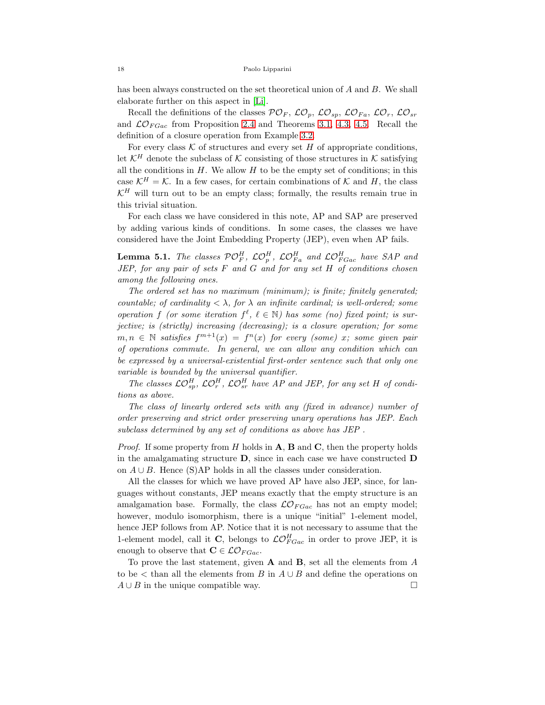has been always constructed on the set theoretical union of A and B. We shall elaborate further on this aspect in [\[Li\]](#page-20-18).

Recall the definitions of the classes  $\mathcal{PO}_F$ ,  $\mathcal{LO}_p$ ,  $\mathcal{LO}_{sp}$ ,  $\mathcal{LO}_{Fa}$ ,  $\mathcal{LO}_r$ ,  $\mathcal{LO}_{sr}$ and  $\mathcal{LO}_{FGac}$  from Proposition [2.4](#page-4-0) and Theorems 3.1, [4.3,](#page-12-0) [4.5.](#page-15-0) Recall the definition of a closure operation from Example [3.2.](#page-10-0)

For every class  $K$  of structures and every set  $H$  of appropriate conditions, let  $\mathcal{K}^H$  denote the subclass of K consisting of those structures in K satisfying all the conditions in  $H$ . We allow  $H$  to be the empty set of conditions; in this case  $\mathcal{K}^H = \mathcal{K}$ . In a few cases, for certain combinations of  $\mathcal{K}$  and H, the class  $\mathcal{K}^H$  will turn out to be an empty class; formally, the results remain true in this trivial situation.

For each class we have considered in this note, AP and SAP are preserved by adding various kinds of conditions. In some cases, the classes we have considered have the Joint Embedding Property (JEP), even when AP fails.

<span id="page-17-0"></span>**Lemma 5.1.** The classes  $\mathcal{PO}_F^H$ ,  $\mathcal{LO}_{p}^H$ ,  $\mathcal{LO}_{Fa}^H$  and  $\mathcal{LO}_{FGac}^H$  have SAP and  $JEP$ , for any pair of sets  $F$  and  $G$  and for any set  $H$  of conditions chosen among the following ones.

The ordered set has no maximum (minimum); is finite; finitely generated; countable; of cardinality  $\langle \lambda \rangle$ , for  $\lambda$  an infinite cardinal; is well-ordered; some operation f (or some iteration  $f^{\ell}$ ,  $\ell \in \mathbb{N}$ ) has some (no) fixed point; is surjective; is (strictly) increasing (decreasing); is a closure operation; for some  $m, n \in \mathbb{N}$  satisfies  $f^{m+1}(x) = f^n(x)$  for every (some) x; some given pair of operations commute. In general, we can allow any condition which can be expressed by a universal-existential first-order sentence such that only one variable is bounded by the universal quantifier.

The classes  $\mathcal{LO}_{sp}^H$ ,  $\mathcal{LO}_{r}^H$ ,  $\mathcal{LO}_{sr}^H$  have AP and JEP, for any set H of conditions as above.

The class of linearly ordered sets with any (fixed in advance) number of order preserving and strict order preserving unary operations has JEP. Each subclass determined by any set of conditions as above has JEP .

*Proof.* If some property from H holds in  $\mathbf{A}$ ,  $\mathbf{B}$  and  $\mathbf{C}$ , then the property holds in the amalgamating structure  $D$ , since in each case we have constructed  $D$ on  $A \cup B$ . Hence (S)AP holds in all the classes under consideration.

All the classes for which we have proved AP have also JEP, since, for languages without constants, JEP means exactly that the empty structure is an amalgamation base. Formally, the class  $\mathcal{LO}_{FGac}$  has not an empty model; however, modulo isomorphism, there is a unique "initial" 1-element model, hence JEP follows from AP. Notice that it is not necessary to assume that the 1-element model, call it C, belongs to  $\mathcal{LO}_{FGac}^H$  in order to prove JEP, it is enough to observe that  $\mathbf{C} \in \mathcal{LO}_{FGac}$ .

To prove the last statement, given  $A$  and  $B$ , set all the elements from  $A$ to be  $\lt$  than all the elements from B in  $A \cup B$  and define the operations on  $A \cup B$  in the unique compatible way.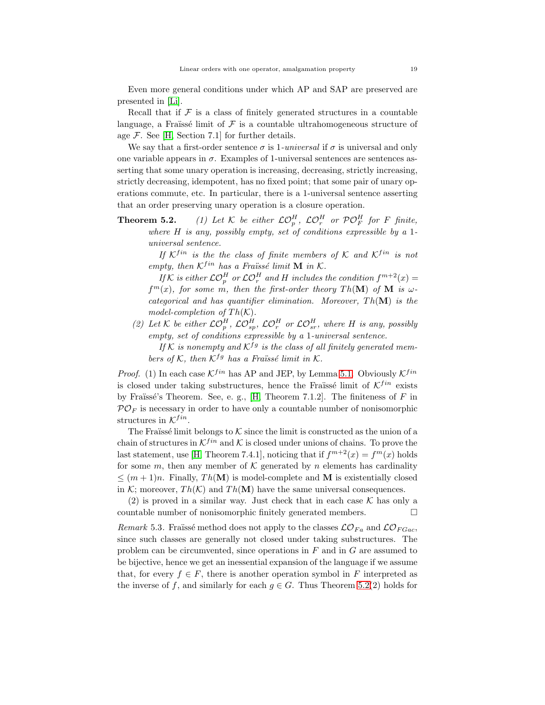Even more general conditions under which AP and SAP are preserved are presented in [\[Li\]](#page-20-18).

Recall that if  $\mathcal F$  is a class of finitely generated structures in a countable language, a Fraïssé limit of  $\mathcal F$  is a countable ultrahomogeneous structure of age  $\mathcal{F}$ . See [\[H,](#page-20-6) Section 7.1] for further details.

We say that a first-order sentence  $\sigma$  is 1-universal if  $\sigma$  is universal and only one variable appears in  $\sigma$ . Examples of 1-universal sentences are sentences asserting that some unary operation is increasing, decreasing, strictly increasing, strictly decreasing, idempotent, has no fixed point; that some pair of unary operations commute, etc. In particular, there is a 1-universal sentence asserting that an order preserving unary operation is a closure operation.

**Theorem 5.2.** (1) Let K be either  $\mathcal{LO}_p^H$ ,  $\mathcal{LO}_r^H$  or  $\mathcal{PO}_F^H$  for F finite, where  $H$  is any, possibly empty, set of conditions expressible by a 1universal sentence.

If  $K^{fin}$  is the the class of finite members of K and  $K^{fin}$  is not empty, then  $K^{fin}$  has a Fraüssé limit **M** in K.

If K is either  $\mathcal{LO}_p^H$  or  $\mathcal{LO}_r^H$  and H includes the condition  $f^{m+2}(x) =$  $f^{m}(x)$ , for some m, then the first-order theory Th(M) of M is  $\omega$ categorical and has quantifier elimination. Moreover,  $Th(\mathbf{M})$  is the model-completion of  $Th(K)$ .

(2) Let K be either  $\mathcal{LO}_p^H$ ,  $\mathcal{LO}_{sp}^H$ ,  $\mathcal{LO}_r^H$  or  $\mathcal{LO}_{sr}^H$ , where H is any, possibly empty, set of conditions expressible by a 1-universal sentence.

If K is nonempty and  $K^{fg}$  is the class of all finitely generated members of K, then  $K^{fg}$  has a Fraüssé limit in K.

*Proof.* (1) In each case  $K^{fin}$  has AP and JEP, by Lemma [5.1.](#page-17-0) Obviously  $K^{fin}$ is closed under taking substructures, hence the Fraïssé limit of  $K^{fin}$  exists by Fraïssé's Theorem. See, e. g., [\[H,](#page-20-6) Theorem 7.1.2]. The finiteness of  $F$  in  $\mathcal{P} \mathcal{O}_F$  is necessary in order to have only a countable number of nonisomorphic structures in  $K^{fin}$ .

The Fraïssé limit belongs to  $K$  since the limit is constructed as the union of a chain of structures in  $K^{fin}$  and K is closed under unions of chains. To prove the last statement, use [\[H,](#page-20-6) Theorem 7.4.1], noticing that if  $f^{m+2}(x) = f^m(x)$  holds for some m, then any member of  $K$  generated by n elements has cardinality  $\leq (m+1)n$ . Finally,  $Th(M)$  is model-complete and M is existentially closed in K; moreover,  $Th(K)$  and  $Th(M)$  have the same universal consequences.

(2) is proved in a similar way. Just check that in each case  $\mathcal K$  has only a countable number of nonisomorphic finitely generated members.

Remark 5.3. Fraüssé method does not apply to the classes  $\mathcal{LO}_{Fa}$  and  $\mathcal{LO}_{FGac}$ , since such classes are generally not closed under taking substructures. The problem can be circumvented, since operations in  $F$  and in  $G$  are assumed to be bijective, hence we get an inessential expansion of the language if we assume that, for every  $f \in F$ , there is another operation symbol in F interpreted as the inverse of f, and similarly for each  $g \in G$ . Thus Theorem 5.2(2) holds for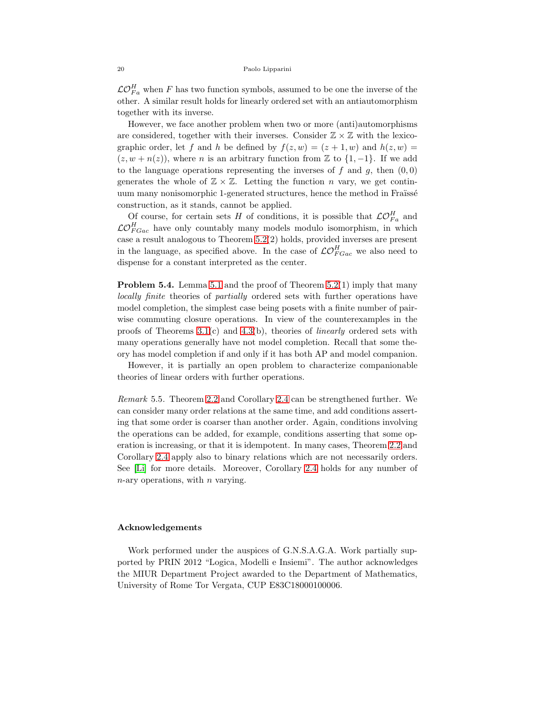$\mathcal{LO}_{Fa}^H$  when F has two function symbols, assumed to be one the inverse of the other. A similar result holds for linearly ordered set with an antiautomorphism together with its inverse.

However, we face another problem when two or more (anti)automorphisms are considered, together with their inverses. Consider  $\mathbb{Z} \times \mathbb{Z}$  with the lexicographic order, let f and h be defined by  $f(z, w) = (z + 1, w)$  and  $h(z, w) =$  $(z, w + n(z))$ , where n is an arbitrary function from Z to  $\{1, -1\}$ . If we add to the language operations representing the inverses of f and g, then  $(0, 0)$ generates the whole of  $\mathbb{Z} \times \mathbb{Z}$ . Letting the function n vary, we get continuum many nonisomorphic 1-generated structures, hence the method in Fraïssé construction, as it stands, cannot be applied.

Of course, for certain sets H of conditions, it is possible that  $\mathcal{LO}_{Fa}^H$  and  $\mathcal{LO}_{FGac}^H$  have only countably many models modulo isomorphism, in which case a result analogous to Theorem 5.2(2) holds, provided inverses are present in the language, as specified above. In the case of  $\mathcal{LO}_{FGac}^H$  we also need to dispense for a constant interpreted as the center.

**Problem 5.4.** Lemma [5.1](#page-17-0) and the proof of Theorem 5.2(1) imply that many locally finite theories of partially ordered sets with further operations have model completion, the simplest case being posets with a finite number of pairwise commuting closure operations. In view of the counterexamples in the proofs of Theorems  $3.1(c)$  and  $4.3(b)$ , theories of *linearly* ordered sets with many operations generally have not model completion. Recall that some theory has model completion if and only if it has both AP and model companion.

However, it is partially an open problem to characterize companionable theories of linear orders with further operations.

Remark 5.5. Theorem [2.2](#page-3-0) and Corollary [2.4](#page-4-0) can be strengthened further. We can consider many order relations at the same time, and add conditions asserting that some order is coarser than another order. Again, conditions involving the operations can be added, for example, conditions asserting that some operation is increasing, or that it is idempotent. In many cases, Theorem [2.2](#page-3-0) and Corollary [2.4](#page-4-0) apply also to binary relations which are not necessarily orders. See [\[Li\]](#page-20-18) for more details. Moreover, Corollary [2.4](#page-4-0) holds for any number of  $n$ -ary operations, with  $n$  varying.

# Acknowledgements

Work performed under the auspices of G.N.S.A.G.A. Work partially supported by PRIN 2012 "Logica, Modelli e Insiemi". The author acknowledges the MIUR Department Project awarded to the Department of Mathematics, University of Rome Tor Vergata, CUP E83C18000100006.